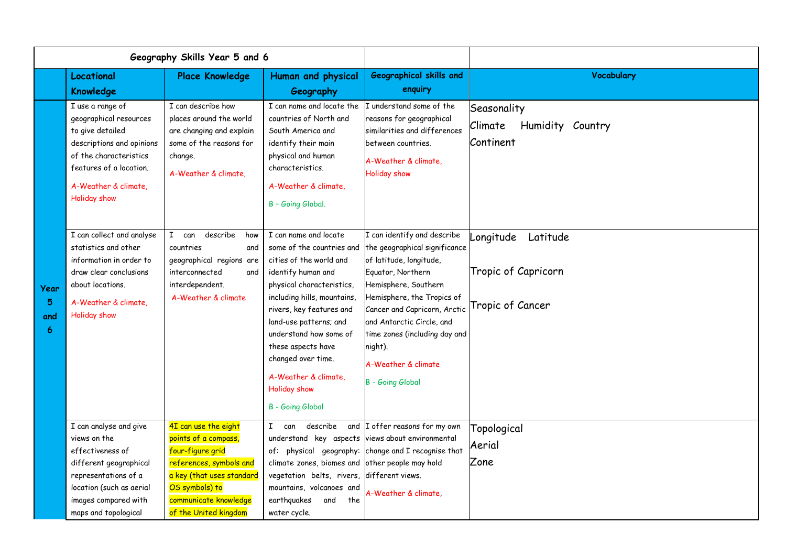| Geography Skills Year 5 and 6 |                                                                                                                                                                                                                                                                                                                                                                              |                                                                                                                                                                                                                                                                                                      |                                                                                                                                                                                                                                                                                                                                                                                                                                                                                                                                                          |                                                                                                                                                                                                                                                                                                                                                                                                                                                                                            |                                                                                                                             |
|-------------------------------|------------------------------------------------------------------------------------------------------------------------------------------------------------------------------------------------------------------------------------------------------------------------------------------------------------------------------------------------------------------------------|------------------------------------------------------------------------------------------------------------------------------------------------------------------------------------------------------------------------------------------------------------------------------------------------------|----------------------------------------------------------------------------------------------------------------------------------------------------------------------------------------------------------------------------------------------------------------------------------------------------------------------------------------------------------------------------------------------------------------------------------------------------------------------------------------------------------------------------------------------------------|--------------------------------------------------------------------------------------------------------------------------------------------------------------------------------------------------------------------------------------------------------------------------------------------------------------------------------------------------------------------------------------------------------------------------------------------------------------------------------------------|-----------------------------------------------------------------------------------------------------------------------------|
|                               | Locational<br>Knowledge                                                                                                                                                                                                                                                                                                                                                      | <b>Place Knowledge</b>                                                                                                                                                                                                                                                                               | Human and physical<br>Geography                                                                                                                                                                                                                                                                                                                                                                                                                                                                                                                          | <b>Geographical skills and</b><br>enquiry                                                                                                                                                                                                                                                                                                                                                                                                                                                  | Vocabulary                                                                                                                  |
| Year<br>5<br>and<br>6         | I use a range of<br>geographical resources<br>to give detailed<br>descriptions and opinions<br>of the characteristics<br>features of a location.<br>A-Weather & climate,<br><b>Holiday show</b><br>I can collect and analyse<br>statistics and other<br>information in order to<br>draw clear conclusions<br>about locations.<br>A-Weather & climate.<br><b>Holiday show</b> | I can describe how<br>places around the world<br>are changing and explain<br>some of the reasons for<br>change.<br>A-Weather & climate,<br>$\mathbf{I}$<br>describe<br>can<br>how<br>countries<br>and<br>geographical regions are<br>interconnected<br>and<br>interdependent.<br>A-Weather & climate | I can name and locate the<br>countries of North and<br>South America and<br>identify their main<br>physical and human<br>characteristics.<br>A-Weather & climate.<br>B - Going Global.<br>I can name and locate<br>some of the countries and<br>cities of the world and<br>identify human and<br>physical characteristics,<br>including hills, mountains,<br>rivers, key features and<br>land-use patterns; and<br>understand how some of<br>these aspects have<br>changed over time.<br>A-Weather & climate,<br>Holiday show<br><b>B</b> - Going Global | I understand some of the<br>reasons for geographical<br>similarities and differences<br>between countries.<br>A-Weather & climate.<br><b>Holiday show</b><br>I can identify and describe<br>the geographical significance<br>of latitude, longitude,<br>Equator, Northern<br>Hemisphere, Southern<br>Hemisphere, the Tropics of<br>Cancer and Capricorn, Arctic<br>and Antarctic Circle, and<br>time zones (including day and<br>night).<br>A-Weather & climate<br><b>B</b> - Going Global | Seasonality<br>Humidity Country<br>Climate<br>Continent<br>Latitude<br>Longitude<br>Tropic of Capricorn<br>Tropic of Cancer |
|                               | I can analyse and give<br>views on the<br>effectiveness of<br>different geographical<br>representations of a<br>location (such as aerial<br>images compared with<br>maps and topological                                                                                                                                                                                     | 4I can use the eight<br>points of a compass,<br>four-figure grid<br>references, symbols and<br>a key (that uses standard<br>OS symbols) to<br>communicate knowledge<br>of the United kingdom                                                                                                         | can<br>describe<br>and<br>I.<br>understand key aspects<br>climate zones, biomes and other people may hold<br>vegetation belts, rivers, different views.<br>mountains, volcanoes and<br>earthquakes<br>the<br>and<br>water cycle.                                                                                                                                                                                                                                                                                                                         | I offer reasons for my own<br>views about environmental<br>of: physical geography: change and I recognise that<br>A-Weather & climate,                                                                                                                                                                                                                                                                                                                                                     | Topological<br>Aerial<br>Zone                                                                                               |